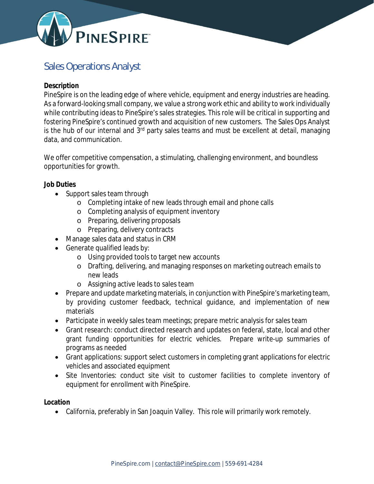

# Sales Operations Analyst

### **Description**

PineSpire is on the leading edge of where vehicle, equipment and energy industries are heading. As a forward-looking small company, we value a strong work ethic and ability to work individually while contributing ideas to PineSpire's sales strategies. This role will be critical in supporting and fostering PineSpire's continued growth and acquisition of new customers. The Sales Ops Analyst is the hub of our internal and  $3<sup>rd</sup>$  party sales teams and must be excellent at detail, managing data, and communication.

We offer competitive compensation, a stimulating, challenging environment, and boundless opportunities for growth.

**Job Duties**

- Support sales team through
	- o Completing intake of new leads through email and phone calls
	- o Completing analysis of equipment inventory
	- o Preparing, delivering proposals
	- o Preparing, delivery contracts
- Manage sales data and status in CRM
- Generate qualified leads by:
	- o Using provided tools to target new accounts
	- o Drafting, delivering, and managing responses on marketing outreach emails to new leads
	- o Assigning active leads to sales team
- Prepare and update marketing materials, in conjunction with PineSpire's marketing team, by providing customer feedback, technical guidance, and implementation of new materials
- Participate in weekly sales team meetings; prepare metric analysis for sales team
- Grant research: conduct directed research and updates on federal, state, local and other grant funding opportunities for electric vehicles. Prepare write-up summaries of programs as needed
- Grant applications: support select customers in completing grant applications for electric vehicles and associated equipment
- Site Inventories: conduct site visit to customer facilities to complete inventory of equipment for enrollment with PineSpire.

**Location**

California, preferably in San Joaquin Valley. This role will primarily work remotely.